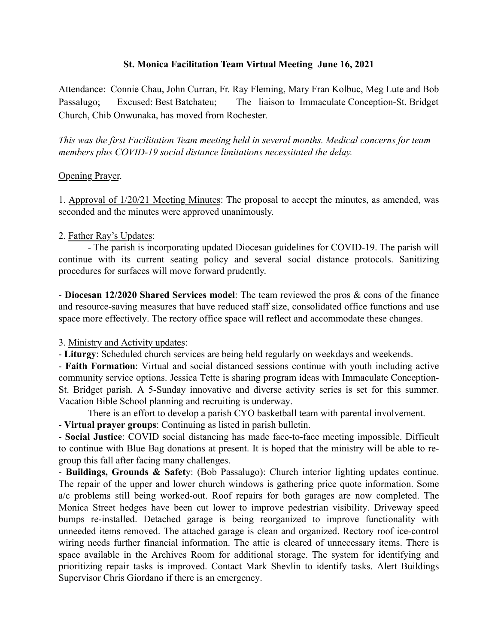# St. Monica Facilitation Team Virtual Meeting June 16, 2021

Attendance: Connie Chau, John Curran, Fr. Ray Fleming, Mary Fran Kolbuc, Meg Lute and Bob Passalugo; Excused: Best Batchateu; The liaison to Immaculate Conception-St. Bridget Church, Chib Onwunaka, has moved from Rochester.

*This was the first Facilitation Team meeting held in several months. Medical concerns for team members plus COVID-19 social distance limitations necessitated the delay.*

## Opening Prayer.

1. Approval of 1/20/21 Meeting Minutes: The proposal to accept the minutes, as amended, was seconded and the minutes were approved unanimously.

## 2. Father Ray's Updates:

- The parish is incorporating updated Diocesan guidelines for COVID-19. The parish will continue with its current seating policy and several social distance protocols. Sanitizing procedures for surfaces will move forward prudently.

- Diocesan 12/2020 Shared Services model: The team reviewed the pros & cons of the finance and resource-saving measures that have reduced staff size, consolidated office functions and use space more effectively. The rectory office space will reflect and accommodate these changes.

### 3. Ministry and Activity updates:

- Liturgy: Scheduled church services are being held regularly on weekdays and weekends.

- Faith Formation: Virtual and social distanced sessions continue with youth including active community service options. Jessica Tette is sharing program ideas with Immaculate Conception-St. Bridget parish. A 5-Sunday innovative and diverse activity series is set for this summer. Vacation Bible School planning and recruiting is underway.

There is an effort to develop a parish CYO basketball team with parental involvement.

- Virtual prayer groups: Continuing as listed in parish bulletin.

- Social Justice: COVID social distancing has made face-to-face meeting impossible. Difficult to continue with Blue Bag donations at present. It is hoped that the ministry will be able to regroup this fall after facing many challenges.

- Buildings, Grounds & Safety: (Bob Passalugo): Church interior lighting updates continue. The repair of the upper and lower church windows is gathering price quote information. Some a/c problems still being worked-out. Roof repairs for both garages are now completed. The Monica Street hedges have been cut lower to improve pedestrian visibility. Driveway speed bumps re-installed. Detached garage is being reorganized to improve functionality with unneeded items removed. The attached garage is clean and organized. Rectory roof ice-control wiring needs further financial information. The attic is cleared of unnecessary items. There is space available in the Archives Room for additional storage. The system for identifying and prioritizing repair tasks is improved. Contact Mark Shevlin to identify tasks. Alert Buildings Supervisor Chris Giordano if there is an emergency.